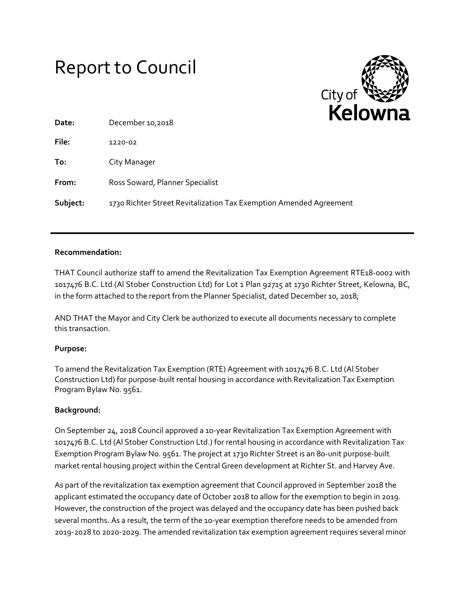# Report to Council



| Date:    | December 10,2018                                                   |
|----------|--------------------------------------------------------------------|
| File:    | 1220-02                                                            |
| To:      | City Manager                                                       |
| From:    | Ross Soward, Planner Specialist                                    |
| Subject: | 1730 Richter Street Revitalization Tax Exemption Amended Agreement |

## **Recommendation:**

THAT Council authorize staff to amend the Revitalization Tax Exemption Agreement RTE18-0002 with 1017476 B.C. Ltd (Al Stober Construction Ltd) for Lot 1 Plan 92715 at 1730 Richter Street, Kelowna, BC, in the form attached to the report from the Planner Specialist, dated December 10, 2018;

AND THAT the Mayor and City Clerk be authorized to execute all documents necessary to complete this transaction.

## **Purpose:**

To amend the Revitalization Tax Exemption (RTE) Agreement with 1017476 B.C. Ltd (Al Stober Construction Ltd) for purpose-built rental housing in accordance with Revitalization Tax Exemption Program Bylaw No. 9561.

## **Background:**

On September 24, 2018 Council approved a 10-year Revitalization Tax Exemption Agreement with 1017476 B.C. Ltd (Al Stober Construction Ltd.) for rental housing in accordance with Revitalization Tax Exemption Program Bylaw No. 9561. The project at 1730 Richter Street is an 80-unit purpose-built market rental housing project within the Central Green development at Richter St. and Harvey Ave.

As part of the revitalization tax exemption agreement that Council approved in September 2018 the applicant estimated the occupancy date of October 2018 to allow for the exemption to begin in 2019. However, the construction of the project was delayed and the occupancy date has been pushed back several months. As a result, the term of the 10-year exemption therefore needs to be amended from 2019-2028 to 2020-2029. The amended revitalization tax exemption agreement requires several minor